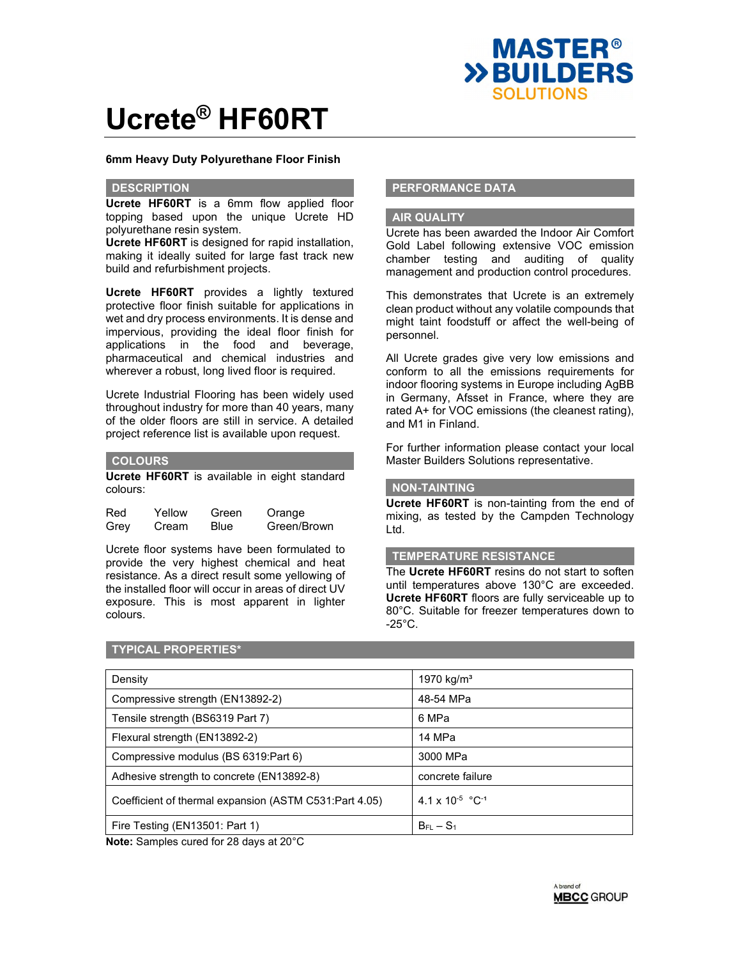

## **6mm Heavy Duty Polyurethane Floor Finish**

### **DESCRIPTION**

**Ucrete HF60RT** is a 6mm flow applied floor topping based upon the unique Ucrete HD polyurethane resin system.

**Ucrete HF60RT** is designed for rapid installation, making it ideally suited for large fast track new build and refurbishment projects.

**Ucrete HF60RT** provides a lightly textured protective floor finish suitable for applications in wet and dry process environments. It is dense and impervious, providing the ideal floor finish for applications in the food and beverage, pharmaceutical and chemical industries and wherever a robust, long lived floor is required.

Ucrete Industrial Flooring has been widely used throughout industry for more than 40 years, many of the older floors are still in service. A detailed project reference list is available upon request.

## **COLOURS**

**Ucrete HF60RT** is available in eight standard colours:

| Red  | Yellow | Green | Orange      |
|------|--------|-------|-------------|
| Grey | Cream  | Blue  | Green/Brown |

Ucrete floor systems have been formulated to provide the very highest chemical and heat resistance. As a direct result some yellowing of the installed floor will occur in areas of direct UV exposure. This is most apparent in lighter colours.

# **PERFORMANCE DATA**

### **AIR QUALITY**

Ucrete has been awarded the Indoor Air Comfort Gold Label following extensive VOC emission chamber testing and auditing of quality management and production control procedures.

This demonstrates that Ucrete is an extremely clean product without any volatile compounds that might taint foodstuff or affect the well-being of personnel.

All Ucrete grades give very low emissions and conform to all the emissions requirements for indoor flooring systems in Europe including AgBB in Germany, Afsset in France, where they are rated A+ for VOC emissions (the cleanest rating), and M1 in Finland.

For further information please contact your local Master Builders Solutions representative.

## **NON-TAINTING**

**Ucrete HF60RT** is non-tainting from the end of mixing, as tested by the Campden Technology Ltd.

## **TEMPERATURE RESISTANCE**

The **Ucrete HF60RT** resins do not start to soften until temperatures above 130°C are exceeded. **Ucrete HF60RT** floors are fully serviceable up to 80°C. Suitable for freezer temperatures down to  $-25^{\circ}$ C.

#### **TYPICAL PROPERTIES\***

| Density                                                | 1970 kg/m <sup>3</sup>                |
|--------------------------------------------------------|---------------------------------------|
| Compressive strength (EN13892-2)                       | 48-54 MPa                             |
| Tensile strength (BS6319 Part 7)                       | 6 MPa                                 |
| Flexural strength (EN13892-2)                          | 14 MPa                                |
| Compressive modulus (BS 6319:Part 6)                   | 3000 MPa                              |
| Adhesive strength to concrete (EN13892-8)              | concrete failure                      |
| Coefficient of thermal expansion (ASTM C531:Part 4.05) | $4.1 \times 10^{-5}$ °C <sup>-1</sup> |
| Fire Testing (EN13501: Part 1)                         | $B_{FI} - S_1$                        |

**Note:** Samples cured for 28 days at 20°C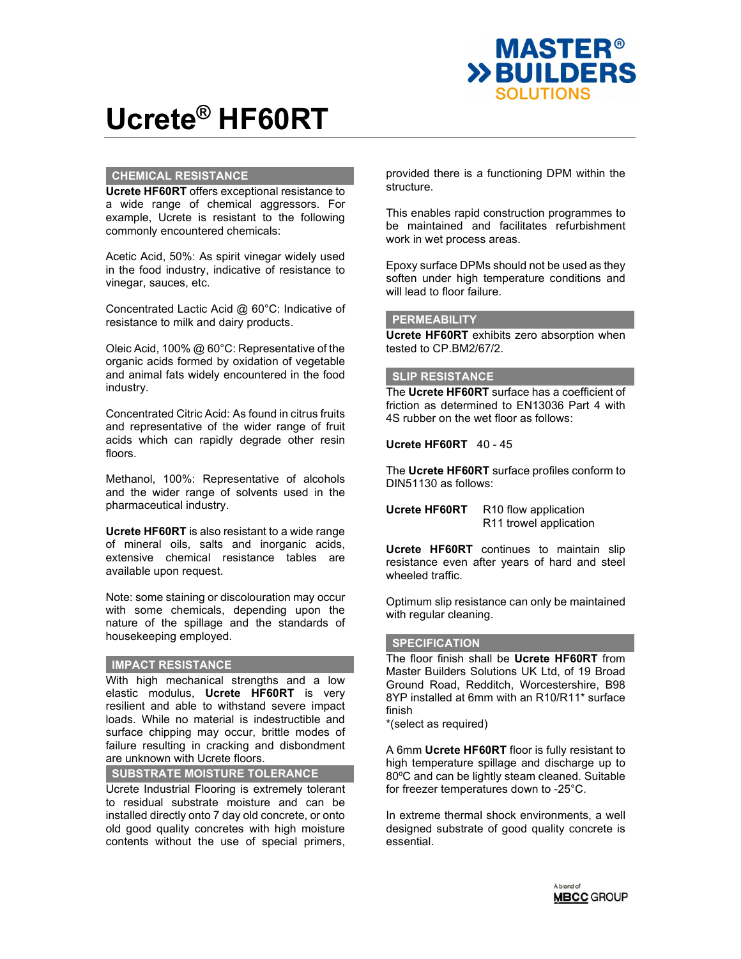

# **CHEMICAL RESISTANCE**

**Ucrete HF60RT** offers exceptional resistance to a wide range of chemical aggressors. For example, Ucrete is resistant to the following commonly encountered chemicals:

Acetic Acid, 50%: As spirit vinegar widely used in the food industry, indicative of resistance to vinegar, sauces, etc.

Concentrated Lactic Acid @ 60°C: Indicative of resistance to milk and dairy products.

Oleic Acid, 100% @ 60°C: Representative of the organic acids formed by oxidation of vegetable and animal fats widely encountered in the food industry.

Concentrated Citric Acid: As found in citrus fruits and representative of the wider range of fruit acids which can rapidly degrade other resin floors.

Methanol, 100%: Representative of alcohols and the wider range of solvents used in the pharmaceutical industry.

**Ucrete HF60RT** is also resistant to a wide range of mineral oils, salts and inorganic acids, extensive chemical resistance tables are available upon request.

Note: some staining or discolouration may occur with some chemicals, depending upon the nature of the spillage and the standards of housekeeping employed.

## **IMPACT RESISTANCE**

With high mechanical strengths and a low elastic modulus, **Ucrete HF60RT** is very resilient and able to withstand severe impact loads. While no material is indestructible and surface chipping may occur, brittle modes of failure resulting in cracking and disbondment are unknown with Ucrete floors.

**SUBSTRATE MOISTURE TOLERANCE**

Ucrete Industrial Flooring is extremely tolerant to residual substrate moisture and can be installed directly onto 7 day old concrete, or onto old good quality concretes with high moisture contents without the use of special primers,

provided there is a functioning DPM within the structure.

This enables rapid construction programmes to be maintained and facilitates refurbishment work in wet process areas.

Epoxy surface DPMs should not be used as they soften under high temperature conditions and will lead to floor failure.

## **PERMEABILITY**

**Ucrete HF60RT** exhibits zero absorption when tested to CP.BM2/67/2.

# **SLIP RESISTANCE**

The **Ucrete HF60RT** surface has a coefficient of friction as determined to EN13036 Part 4 with 4S rubber on the wet floor as follows:

**Ucrete HF60RT** 40 - 45

The **Ucrete HF60RT** surface profiles conform to DIN51130 as follows:

**Ucrete HF60RT** R10 flow application R11 trowel application

**Ucrete HF60RT** continues to maintain slip resistance even after years of hard and steel wheeled traffic.

Optimum slip resistance can only be maintained with regular cleaning.

## **SPECIFICATION**

The floor finish shall be **Ucrete HF60RT** from Master Builders Solutions UK Ltd, of 19 Broad Ground Road, Redditch, Worcestershire, B98 8YP installed at 6mm with an R10/R11\* surface finish

\*(select as required)

A 6mm **Ucrete HF60RT** floor is fully resistant to high temperature spillage and discharge up to 80ºC and can be lightly steam cleaned. Suitable for freezer temperatures down to -25°C.

In extreme thermal shock environments, a well designed substrate of good quality concrete is essential.

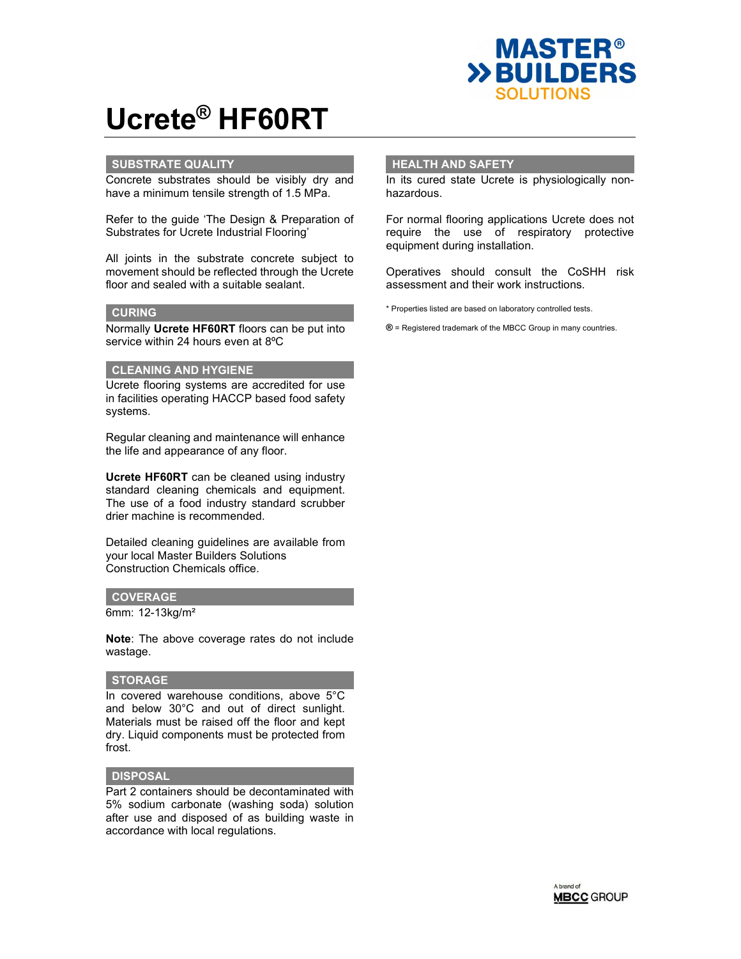

## **SUBSTRATE QUALITY**

Concrete substrates should be visibly dry and have a minimum tensile strength of 1.5 MPa.

Refer to the guide 'The Design & Preparation of Substrates for Ucrete Industrial Flooring'

All joints in the substrate concrete subject to movement should be reflected through the Ucrete floor and sealed with a suitable sealant.

## **CURING**

Normally **Ucrete HF60RT** floors can be put into service within 24 hours even at 8ºC

## **CLEANING AND HYGIENE**

Ucrete flooring systems are accredited for use in facilities operating HACCP based food safety systems.

Regular cleaning and maintenance will enhance the life and appearance of any floor.

**Ucrete HF60RT** can be cleaned using industry standard cleaning chemicals and equipment. The use of a food industry standard scrubber drier machine is recommended.

Detailed cleaning guidelines are available from your local Master Builders Solutions Construction Chemicals office.

#### **COVERAGE**

6mm: 12-13kg/m²

**Note**: The above coverage rates do not include wastage.

## **STORAGE**

In covered warehouse conditions, above 5°C and below 30°C and out of direct sunlight. Materials must be raised off the floor and kept dry. Liquid components must be protected from frost.

## **DISPOSAL**

Part 2 containers should be decontaminated with 5% sodium carbonate (washing soda) solution after use and disposed of as building waste in accordance with local regulations.

### **HEALTH AND SAFETY**

In its cured state Ucrete is physiologically nonhazardous.

For normal flooring applications Ucrete does not require the use of respiratory protective equipment during installation.

Operatives should consult the CoSHH risk assessment and their work instructions.

\* Properties listed are based on laboratory controlled tests.

**®** = Registered trademark of the MBCC Group in many countries.